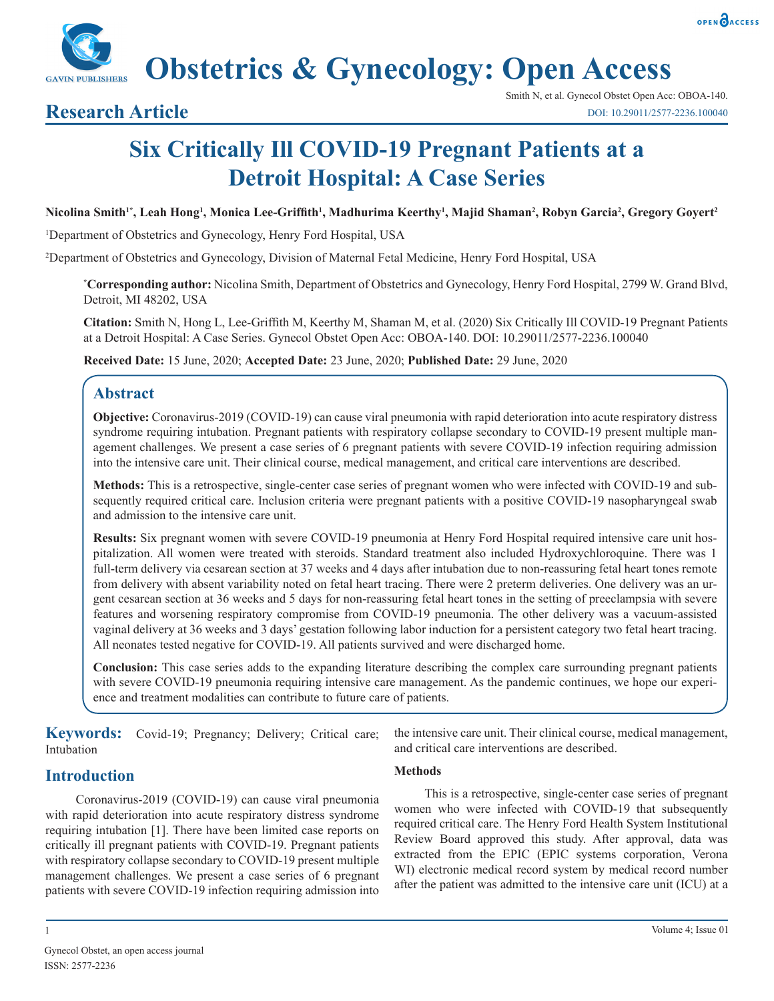**Obstetrics & Gynecology: Open Access**

# **Research Article**

# **Six Critically Ill COVID-19 Pregnant Patients at a Detroit Hospital: A Case Series**

#### **Nicolina Smith1\*, Leah Hong1 , Monica Lee-Griffith<sup>1</sup> , Madhurima Keerthy1 , Majid Shaman2 , Robyn Garcia2 , Gregory Goyert2**

1 Department of Obstetrics and Gynecology, Henry Ford Hospital, USA

2 Department of Obstetrics and Gynecology, Division of Maternal Fetal Medicine, Henry Ford Hospital, USA

**\* Corresponding author:** Nicolina Smith, Department of Obstetrics and Gynecology, Henry Ford Hospital, 2799 W. Grand Blvd, Detroit, MI 48202, USA

**Citation:** Smith N, Hong L, Lee-Griffith M, Keerthy M, Shaman M, et al. (2020) Six Critically Ill COVID-19 Pregnant Patients at a Detroit Hospital: A Case Series. Gynecol Obstet Open Acc: OBOA-140. DOI: 10.29011/2577-2236.100040

**Received Date:** 15 June, 2020; **Accepted Date:** 23 June, 2020; **Published Date:** 29 June, 2020

# **Abstract**

**Objective:** Coronavirus-2019 (COVID-19) can cause viral pneumonia with rapid deterioration into acute respiratory distress syndrome requiring intubation. Pregnant patients with respiratory collapse secondary to COVID-19 present multiple management challenges. We present a case series of 6 pregnant patients with severe COVID-19 infection requiring admission into the intensive care unit. Their clinical course, medical management, and critical care interventions are described.

**Methods:** This is a retrospective, single-center case series of pregnant women who were infected with COVID-19 and subsequently required critical care. Inclusion criteria were pregnant patients with a positive COVID-19 nasopharyngeal swab and admission to the intensive care unit.

**Results:** Six pregnant women with severe COVID-19 pneumonia at Henry Ford Hospital required intensive care unit hospitalization. All women were treated with steroids. Standard treatment also included Hydroxychloroquine. There was 1 full-term delivery via cesarean section at 37 weeks and 4 days after intubation due to non-reassuring fetal heart tones remote from delivery with absent variability noted on fetal heart tracing. There were 2 preterm deliveries. One delivery was an urgent cesarean section at 36 weeks and 5 days for non-reassuring fetal heart tones in the setting of preeclampsia with severe features and worsening respiratory compromise from COVID-19 pneumonia. The other delivery was a vacuum-assisted vaginal delivery at 36 weeks and 3 days' gestation following labor induction for a persistent category two fetal heart tracing. All neonates tested negative for COVID-19. All patients survived and were discharged home.

**Conclusion:** This case series adds to the expanding literature describing the complex care surrounding pregnant patients with severe COVID-19 pneumonia requiring intensive care management. As the pandemic continues, we hope our experience and treatment modalities can contribute to future care of patients.

**Keywords:** Covid-19; Pregnancy; Delivery; Critical care; Intubation

the intensive care unit. Their clinical course, medical management, and critical care interventions are described.

## **Introduction**

Coronavirus-2019 (COVID-19) can cause viral pneumonia with rapid deterioration into acute respiratory distress syndrome requiring intubation [1]. There have been limited case reports on critically ill pregnant patients with COVID-19. Pregnant patients with respiratory collapse secondary to COVID-19 present multiple management challenges. We present a case series of 6 pregnant patients with severe COVID-19 infection requiring admission into

#### **Methods**

This is a retrospective, single-center case series of pregnant women who were infected with COVID-19 that subsequently required critical care. The Henry Ford Health System Institutional Review Board approved this study. After approval, data was extracted from the EPIC (EPIC systems corporation, Verona WI) electronic medical record system by medical record number after the patient was admitted to the intensive care unit (ICU) at a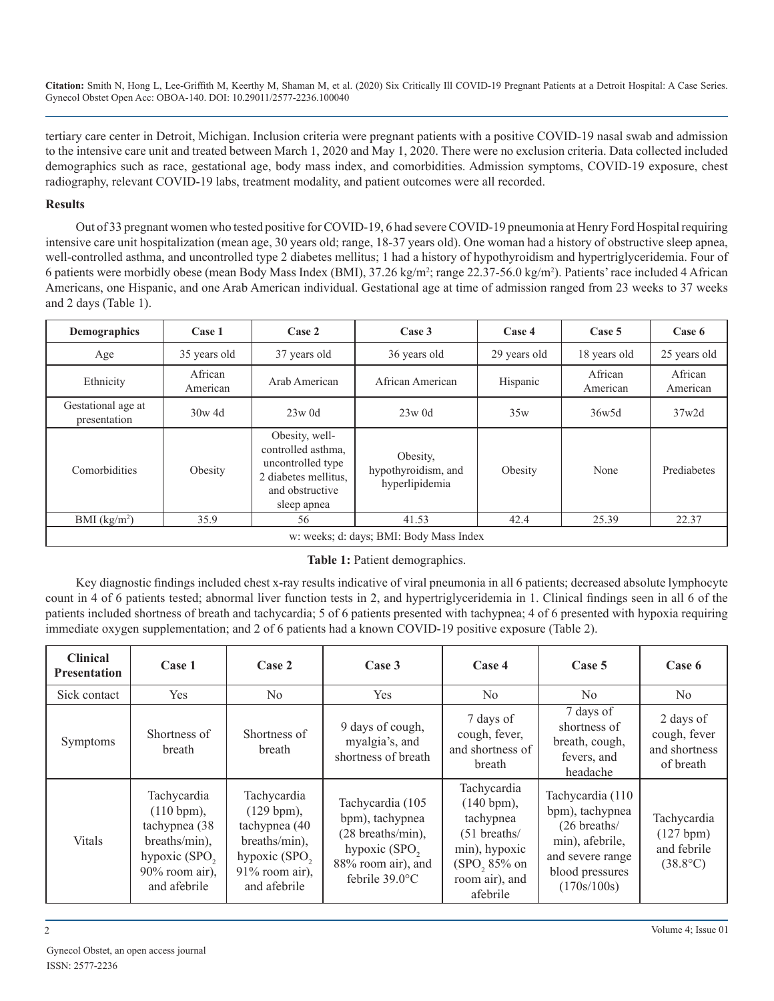tertiary care center in Detroit, Michigan. Inclusion criteria were pregnant patients with a positive COVID-19 nasal swab and admission to the intensive care unit and treated between March 1, 2020 and May 1, 2020. There were no exclusion criteria. Data collected included demographics such as race, gestational age, body mass index, and comorbidities. Admission symptoms, COVID-19 exposure, chest radiography, relevant COVID-19 labs, treatment modality, and patient outcomes were all recorded.

#### **Results**

Out of 33 pregnant women who tested positive for COVID-19, 6 had severe COVID-19 pneumonia at Henry Ford Hospital requiring intensive care unit hospitalization (mean age, 30 years old; range, 18-37 years old). One woman had a history of obstructive sleep apnea, well-controlled asthma, and uncontrolled type 2 diabetes mellitus; 1 had a history of hypothyroidism and hypertriglyceridemia. Four of 6 patients were morbidly obese (mean Body Mass Index (BMI), 37.26 kg/m<sup>2</sup>; range 22.37-56.0 kg/m<sup>2</sup>). Patients' race included 4 African Americans, one Hispanic, and one Arab American individual. Gestational age at time of admission ranged from 23 weeks to 37 weeks and 2 days (Table 1).

| <b>Demographics</b>                     | Case 1              | Case 2<br>Case 3                                                                                                    |                                                   | Case 4       | Case 5              | Case 6              |
|-----------------------------------------|---------------------|---------------------------------------------------------------------------------------------------------------------|---------------------------------------------------|--------------|---------------------|---------------------|
| Age                                     | 35 years old        | 37 years old                                                                                                        | 36 years old                                      | 29 years old | 18 years old        | 25 years old        |
| Ethnicity                               | African<br>American | Arab American                                                                                                       | African American                                  | Hispanic     | African<br>American | African<br>American |
| Gestational age at<br>presentation      | $30w$ 4d            | $23w$ 0d                                                                                                            | $23w$ 0d                                          | 35w          | 36w5d               | 37w2d               |
| Comorbidities                           | Obesity             | Obesity, well-<br>controlled asthma.<br>uncontrolled type<br>2 diabetes mellitus.<br>and obstructive<br>sleep apnea | Obesity,<br>hypothyroidism, and<br>hyperlipidemia | Obesity      | None                | Prediabetes         |
| BMI $(kg/m2)$                           | 35.9                | 56                                                                                                                  | 41.53                                             | 42.4         | 25.39               | 22.37               |
| w: weeks; d: days; BMI: Body Mass Index |                     |                                                                                                                     |                                                   |              |                     |                     |

**Table 1:** Patient demographics.

Key diagnostic findings included chest x-ray results indicative of viral pneumonia in all 6 patients; decreased absolute lymphocyte count in 4 of 6 patients tested; abnormal liver function tests in 2, and hypertriglyceridemia in 1. Clinical findings seen in all 6 of the patients included shortness of breath and tachycardia; 5 of 6 patients presented with tachypnea; 4 of 6 presented with hypoxia requiring immediate oxygen supplementation; and 2 of 6 patients had a known COVID-19 positive exposure (Table 2).

| <b>Clinical</b><br><b>Presentation</b> | Case 1                                                                                                                      | Case 2                                                                                                                                  | Case 3                                                                                                                        | Case 4                                                                                                                              | Case 5                                                                                                                                 | Case 6                                                       |
|----------------------------------------|-----------------------------------------------------------------------------------------------------------------------------|-----------------------------------------------------------------------------------------------------------------------------------------|-------------------------------------------------------------------------------------------------------------------------------|-------------------------------------------------------------------------------------------------------------------------------------|----------------------------------------------------------------------------------------------------------------------------------------|--------------------------------------------------------------|
| Sick contact                           | Yes                                                                                                                         | $\rm No$                                                                                                                                | Yes                                                                                                                           | $\rm No$                                                                                                                            | N <sub>0</sub>                                                                                                                         | No.                                                          |
| Symptoms                               | Shortness of<br>breath                                                                                                      | Shortness of<br>breath                                                                                                                  | 9 days of cough,<br>myalgia's, and<br>shortness of breath                                                                     | 7 days of<br>cough, fever,<br>and shortness of<br>breath                                                                            | 7 days of<br>shortness of<br>breath, cough,<br>fevers, and<br>headache                                                                 | 2 days of<br>cough, fever<br>and shortness<br>of breath      |
| Vitals                                 | Tachycardia<br>(110 bpm),<br>tachypnea (38)<br>breaths/min),<br>hypoxic (SPO <sub>2</sub><br>90% room air),<br>and afebrile | Tachycardia<br>$(129 \text{ bpm}),$<br>tachypnea (40<br>breaths/min),<br>hypoxic (SPO <sub>2</sub><br>$91\%$ room air),<br>and afebrile | Tachycardia (105<br>bpm), tachypnea<br>(28 breaths/min),<br>hypoxic (SPO <sub>2</sub><br>88% room air), and<br>febrile 39.0°C | Tachycardia<br>(140 bpm),<br>tachypnea<br>$(51$ breaths/<br>min), hypoxic<br>(SPO <sub>2</sub> 85% on<br>room air), and<br>afebrile | Tachycardia (110<br>bpm), tachypnea<br>$(26 \text{ breaths})$<br>min), afebrile,<br>and severe range<br>blood pressures<br>(170s/100s) | Tachycardia<br>(127 bpm)<br>and febrile<br>$(38.8^{\circ}C)$ |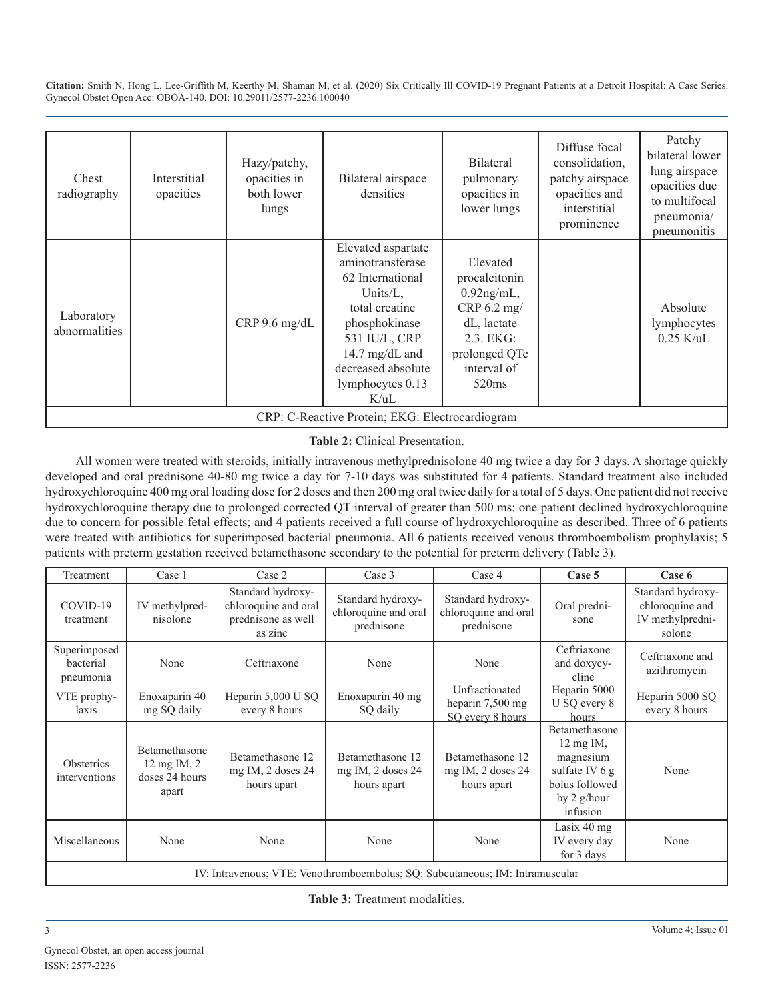| Chest<br>radiography                            | Interstitial<br>opacities | Hazy/patchy,<br>opacities in<br>both lower<br>lungs | Bilateral airspace<br>densities                                                                                                                                                                    | <b>Bilateral</b><br>pulmonary<br>opacities in<br>lower lungs                                                                               | Diffuse focal<br>consolidation,<br>patchy airspace<br>opacities and<br>interstitial<br>prominence | Patchy<br>bilateral lower<br>lung airspace<br>opacities due<br>to multifocal<br>pneumonia/<br>pneumonitis |
|-------------------------------------------------|---------------------------|-----------------------------------------------------|----------------------------------------------------------------------------------------------------------------------------------------------------------------------------------------------------|--------------------------------------------------------------------------------------------------------------------------------------------|---------------------------------------------------------------------------------------------------|-----------------------------------------------------------------------------------------------------------|
| Laboratory<br>abnormalities                     |                           | $CRP$ 9.6 mg/dL                                     | Elevated aspartate<br>aminotransferase<br>62 International<br>Units/ $L$ ,<br>total creatine<br>phosphokinase<br>531 IU/L, CRP<br>14.7 mg/dL and<br>decreased absolute<br>lymphocytes 0.13<br>K/uL | Elevated<br>procalcitonin<br>$0.92$ ng/mL,<br>CRP 6.2 mg/<br>dL, lactate<br>2.3. EKG:<br>prolonged QTc<br>interval of<br>520 <sub>ms</sub> |                                                                                                   | Absolute<br>lymphocytes<br>$0.25$ K/uL                                                                    |
| CRP: C-Reactive Protein; EKG: Electrocardiogram |                           |                                                     |                                                                                                                                                                                                    |                                                                                                                                            |                                                                                                   |                                                                                                           |

#### **Table 2:** Clinical Presentation.

All women were treated with steroids, initially intravenous methylprednisolone 40 mg twice a day for 3 days. A shortage quickly developed and oral prednisone 40-80 mg twice a day for 7-10 days was substituted for 4 patients. Standard treatment also included hydroxychloroquine 400 mg oral loading dose for 2 doses and then 200 mg oral twice daily for a total of 5 days. One patient did not receive hydroxychloroquine therapy due to prolonged corrected QT interval of greater than 500 ms; one patient declined hydroxychloroquine due to concern for possible fetal effects; and 4 patients received a full course of hydroxychloroquine as described. Three of 6 patients were treated with antibiotics for superimposed bacterial pneumonia. All 6 patients received venous thromboembolism prophylaxis; 5 patients with preterm gestation received betamethasone secondary to the potential for preterm delivery (Table 3).

| Treatment                                                                     | Case 1                                                              | Case 2                                                                     | Case 3                                                  | Case 4                                                  | Case 5                                                                                                             | Case 6                                                             |
|-------------------------------------------------------------------------------|---------------------------------------------------------------------|----------------------------------------------------------------------------|---------------------------------------------------------|---------------------------------------------------------|--------------------------------------------------------------------------------------------------------------------|--------------------------------------------------------------------|
| COVID-19<br>treatment                                                         | IV methylpred-<br>nisolone                                          | Standard hydroxy-<br>chloroquine and oral<br>prednisone as well<br>as zinc | Standard hydroxy-<br>chloroquine and oral<br>prednisone | Standard hydroxy-<br>chloroquine and oral<br>prednisone | Oral predni-<br>sone                                                                                               | Standard hydroxy-<br>chloroquine and<br>IV methylpredni-<br>solone |
| Superimposed<br>bacterial<br>pneumonia                                        | None                                                                | Ceftriaxone                                                                | None                                                    | None                                                    | Ceftriaxone<br>and doxycy-<br>cline                                                                                | Ceftriaxone and<br>azithromycin                                    |
| VTE prophy-<br>laxis                                                          | Enoxaparin 40<br>mg SQ daily                                        | Heparin $5,000$ U SQ<br>every 8 hours                                      | Enoxaparin 40 mg<br>SQ daily                            | Unfractionated<br>heparin 7,500 mg<br>SQ every 8 hours  | Heparin 5000<br>U SQ every 8<br>hours                                                                              | Heparin 5000 SQ<br>every 8 hours                                   |
| <b>Obstetrics</b><br>interventions                                            | Betamethasone<br>$12 \text{ mg}$ IM, $2$<br>doses 24 hours<br>apart | Betamethasone 12<br>mg IM, 2 doses 24<br>hours apart                       | Betamethasone 12<br>mg IM, 2 doses 24<br>hours apart    | Betamethasone 12<br>mg IM, 2 doses 24<br>hours apart    | Betamethasone<br>$12 \text{ mg}$ IM,<br>magnesium<br>sulfate IV 6 g<br>bolus followed<br>by $2$ g/hour<br>infusion | None                                                               |
| Miscellaneous                                                                 | None                                                                | None                                                                       | None                                                    | None                                                    | Lasix $40$ mg<br>IV every day<br>for 3 days                                                                        | None                                                               |
| IV: Intravenous; VTE: Venothromboembolus; SQ: Subcutaneous; IM: Intramuscular |                                                                     |                                                                            |                                                         |                                                         |                                                                                                                    |                                                                    |

**Table 3:** Treatment modalities.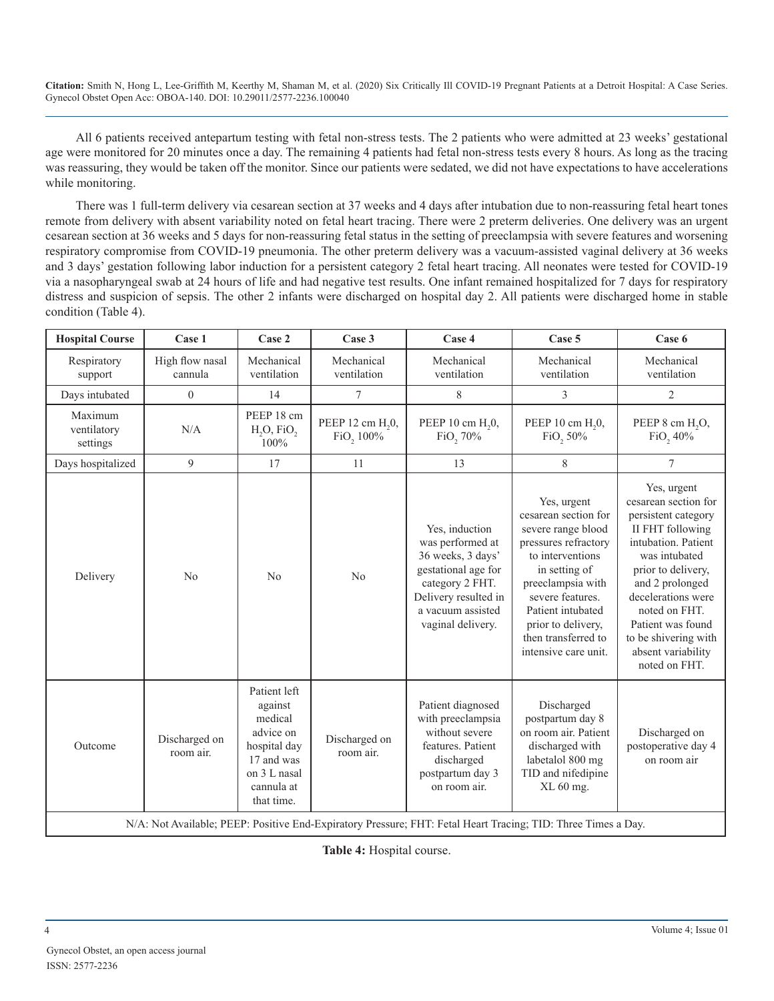All 6 patients received antepartum testing with fetal non-stress tests. The 2 patients who were admitted at 23 weeks' gestational age were monitored for 20 minutes once a day. The remaining 4 patients had fetal non-stress tests every 8 hours. As long as the tracing was reassuring, they would be taken off the monitor. Since our patients were sedated, we did not have expectations to have accelerations while monitoring.

There was 1 full-term delivery via cesarean section at 37 weeks and 4 days after intubation due to non-reassuring fetal heart tones remote from delivery with absent variability noted on fetal heart tracing. There were 2 preterm deliveries. One delivery was an urgent cesarean section at 36 weeks and 5 days for non-reassuring fetal status in the setting of preeclampsia with severe features and worsening respiratory compromise from COVID-19 pneumonia. The other preterm delivery was a vacuum-assisted vaginal delivery at 36 weeks and 3 days' gestation following labor induction for a persistent category 2 fetal heart tracing. All neonates were tested for COVID-19 via a nasopharyngeal swab at 24 hours of life and had negative test results. One infant remained hospitalized for 7 days for respiratory distress and suspicion of sepsis. The other 2 infants were discharged on hospital day 2. All patients were discharged home in stable condition (Table 4).

| <b>Hospital Course</b>             | Case 1                     | Case 2                                                                                                                    | Case 3                                    | Case 4                                                                                                                                                              | Case 5                                                                                                                                                                                                                                                    | Case 6                                                                                                                                                                                                                                                                                     |
|------------------------------------|----------------------------|---------------------------------------------------------------------------------------------------------------------------|-------------------------------------------|---------------------------------------------------------------------------------------------------------------------------------------------------------------------|-----------------------------------------------------------------------------------------------------------------------------------------------------------------------------------------------------------------------------------------------------------|--------------------------------------------------------------------------------------------------------------------------------------------------------------------------------------------------------------------------------------------------------------------------------------------|
| Respiratory<br>support             | High flow nasal<br>cannula | Mechanical<br>ventilation                                                                                                 | Mechanical<br>ventilation                 | Mechanical<br>ventilation                                                                                                                                           | Mechanical<br>ventilation                                                                                                                                                                                                                                 | Mechanical<br>ventilation                                                                                                                                                                                                                                                                  |
| Days intubated                     | $\overline{0}$             | 14                                                                                                                        | 7                                         | 8                                                                                                                                                                   | 3                                                                                                                                                                                                                                                         | $\overline{c}$                                                                                                                                                                                                                                                                             |
| Maximum<br>ventilatory<br>settings | N/A                        | PEEP 18 cm<br>$H2O$ , FiO <sub>2</sub><br>100%                                                                            | PEEP 12 cm H <sub>2</sub> 0,<br>FiO, 100% | PEEP 10 cm H <sub>2</sub> 0,<br>FiO <sub>2</sub> 70%                                                                                                                | PEEP 10 cm H <sub>2</sub> 0,<br>FiO <sub>2</sub> 50%                                                                                                                                                                                                      | PEEP 8 cm H <sub>2</sub> O <sub>2</sub><br>FiO <sub>2</sub> 40%                                                                                                                                                                                                                            |
| Days hospitalized                  | 9                          | 17                                                                                                                        | 11                                        | 13                                                                                                                                                                  | 8                                                                                                                                                                                                                                                         | $\overline{7}$                                                                                                                                                                                                                                                                             |
| Delivery                           | No                         | No                                                                                                                        | N <sub>0</sub>                            | Yes, induction<br>was performed at<br>36 weeks, 3 days'<br>gestational age for<br>category 2 FHT.<br>Delivery resulted in<br>a vacuum assisted<br>vaginal delivery. | Yes, urgent<br>cesarean section for<br>severe range blood<br>pressures refractory<br>to interventions<br>in setting of<br>preeclampsia with<br>severe features.<br>Patient intubated<br>prior to delivery,<br>then transferred to<br>intensive care unit. | Yes, urgent<br>cesarean section for<br>persistent category<br>II FHT following<br>intubation. Patient<br>was intubated<br>prior to delivery,<br>and 2 prolonged<br>decelerations were<br>noted on FHT.<br>Patient was found<br>to be shivering with<br>absent variability<br>noted on FHT. |
| Outcome                            | Discharged on<br>room air. | Patient left<br>against<br>medical<br>advice on<br>hospital day<br>17 and was<br>on 3 L nasal<br>cannula at<br>that time. | Discharged on<br>room air.                | Patient diagnosed<br>with preeclampsia<br>without severe<br>features. Patient<br>discharged<br>postpartum day 3<br>on room air.                                     | Discharged<br>postpartum day 8<br>on room air. Patient<br>discharged with<br>labetalol 800 mg<br>TID and nifedipine<br>XL 60 mg.                                                                                                                          | Discharged on<br>postoperative day 4<br>on room air                                                                                                                                                                                                                                        |

N/A: Not Available; PEEP: Positive End-Expiratory Pressure; FHT: Fetal Heart Tracing; TID: Three Times a Day.

**Table 4:** Hospital course.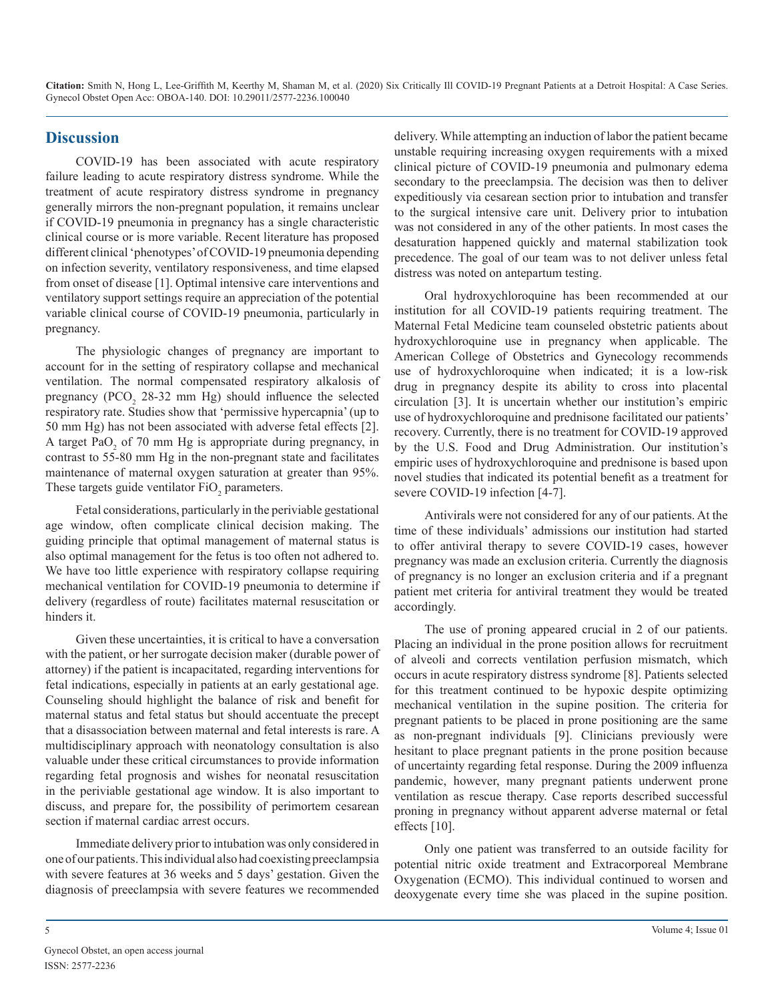### **Discussion**

COVID-19 has been associated with acute respiratory failure leading to acute respiratory distress syndrome. While the treatment of acute respiratory distress syndrome in pregnancy generally mirrors the non-pregnant population, it remains unclear if COVID-19 pneumonia in pregnancy has a single characteristic clinical course or is more variable. Recent literature has proposed different clinical 'phenotypes' of COVID-19 pneumonia depending on infection severity, ventilatory responsiveness, and time elapsed from onset of disease [1]. Optimal intensive care interventions and ventilatory support settings require an appreciation of the potential variable clinical course of COVID-19 pneumonia, particularly in pregnancy.

The physiologic changes of pregnancy are important to account for in the setting of respiratory collapse and mechanical ventilation. The normal compensated respiratory alkalosis of pregnancy ( $PCO<sub>2</sub>$  28-32 mm Hg) should influence the selected respiratory rate. Studies show that 'permissive hypercapnia' (up to 50 mm Hg) has not been associated with adverse fetal effects [2]. A target  $PaO<sub>2</sub>$  of 70 mm Hg is appropriate during pregnancy, in contrast to 55-80 mm Hg in the non-pregnant state and facilitates maintenance of maternal oxygen saturation at greater than 95%. These targets guide ventilator  $FiO_2$  parameters.

Fetal considerations, particularly in the periviable gestational age window, often complicate clinical decision making. The guiding principle that optimal management of maternal status is also optimal management for the fetus is too often not adhered to. We have too little experience with respiratory collapse requiring mechanical ventilation for COVID-19 pneumonia to determine if delivery (regardless of route) facilitates maternal resuscitation or hinders it.

Given these uncertainties, it is critical to have a conversation with the patient, or her surrogate decision maker (durable power of attorney) if the patient is incapacitated, regarding interventions for fetal indications, especially in patients at an early gestational age. Counseling should highlight the balance of risk and benefit for maternal status and fetal status but should accentuate the precept that a disassociation between maternal and fetal interests is rare. A multidisciplinary approach with neonatology consultation is also valuable under these critical circumstances to provide information regarding fetal prognosis and wishes for neonatal resuscitation in the periviable gestational age window. It is also important to discuss, and prepare for, the possibility of perimortem cesarean section if maternal cardiac arrest occurs.

Immediate delivery prior to intubation was only considered in one of our patients. This individual also had coexisting preeclampsia with severe features at 36 weeks and 5 days' gestation. Given the diagnosis of preeclampsia with severe features we recommended

delivery. While attempting an induction of labor the patient became unstable requiring increasing oxygen requirements with a mixed clinical picture of COVID-19 pneumonia and pulmonary edema secondary to the preeclampsia. The decision was then to deliver expeditiously via cesarean section prior to intubation and transfer to the surgical intensive care unit. Delivery prior to intubation was not considered in any of the other patients. In most cases the desaturation happened quickly and maternal stabilization took precedence. The goal of our team was to not deliver unless fetal distress was noted on antepartum testing.

Oral hydroxychloroquine has been recommended at our institution for all COVID-19 patients requiring treatment. The Maternal Fetal Medicine team counseled obstetric patients about hydroxychloroquine use in pregnancy when applicable. The American College of Obstetrics and Gynecology recommends use of hydroxychloroquine when indicated; it is a low-risk drug in pregnancy despite its ability to cross into placental circulation [3]. It is uncertain whether our institution's empiric use of hydroxychloroquine and prednisone facilitated our patients' recovery. Currently, there is no treatment for COVID-19 approved by the U.S. Food and Drug Administration. Our institution's empiric uses of hydroxychloroquine and prednisone is based upon novel studies that indicated its potential benefit as a treatment for severe COVID-19 infection [4-7].

Antivirals were not considered for any of our patients. At the time of these individuals' admissions our institution had started to offer antiviral therapy to severe COVID-19 cases, however pregnancy was made an exclusion criteria. Currently the diagnosis of pregnancy is no longer an exclusion criteria and if a pregnant patient met criteria for antiviral treatment they would be treated accordingly.

The use of proning appeared crucial in 2 of our patients. Placing an individual in the prone position allows for recruitment of alveoli and corrects ventilation perfusion mismatch, which occurs in acute respiratory distress syndrome [8]. Patients selected for this treatment continued to be hypoxic despite optimizing mechanical ventilation in the supine position. The criteria for pregnant patients to be placed in prone positioning are the same as non-pregnant individuals [9]. Clinicians previously were hesitant to place pregnant patients in the prone position because of uncertainty regarding fetal response. During the 2009 influenza pandemic, however, many pregnant patients underwent prone ventilation as rescue therapy. Case reports described successful proning in pregnancy without apparent adverse maternal or fetal effects [10].

Only one patient was transferred to an outside facility for potential nitric oxide treatment and Extracorporeal Membrane Oxygenation (ECMO). This individual continued to worsen and deoxygenate every time she was placed in the supine position.